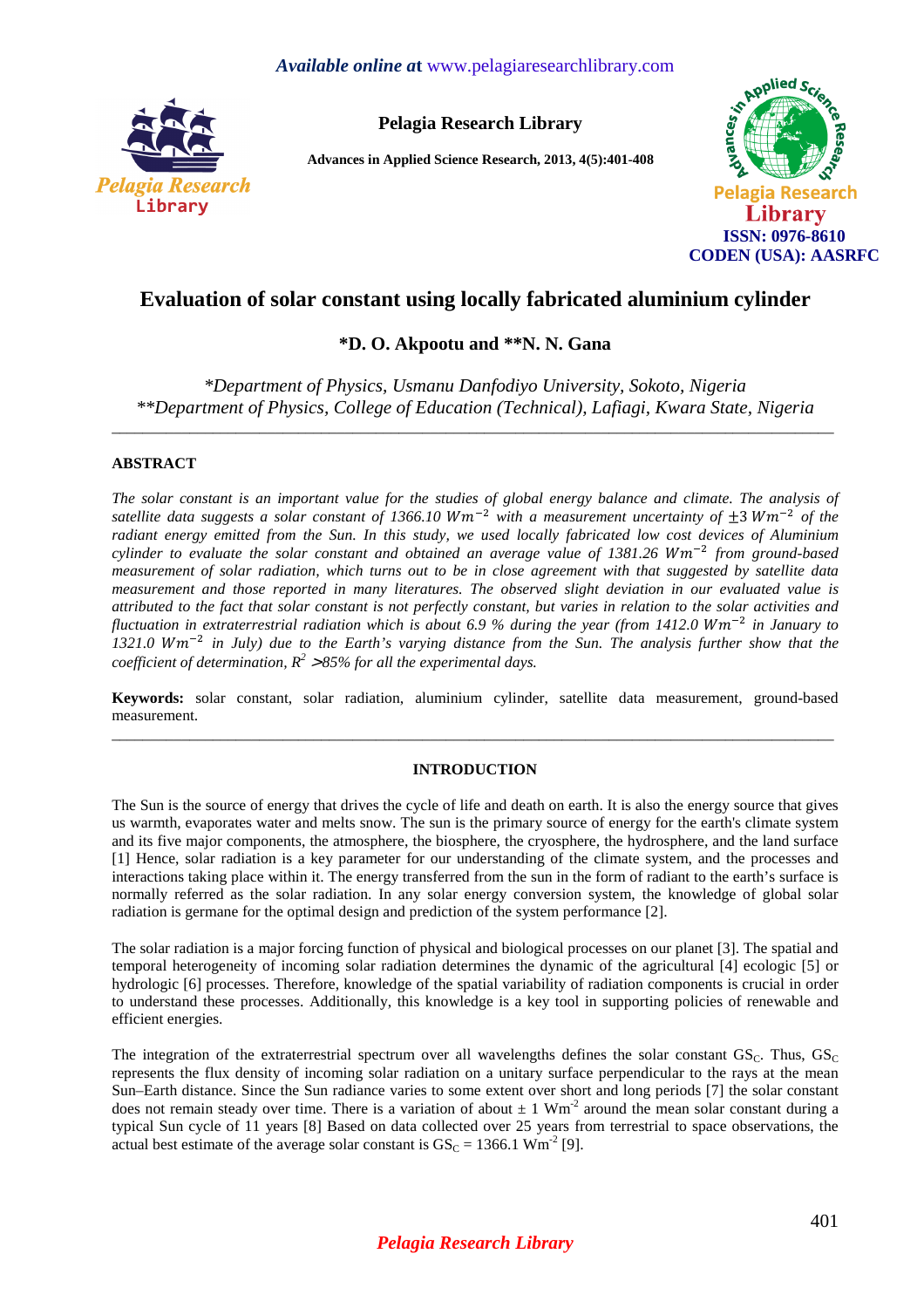

**Pelagia Research Library** 

**Advances in Applied Science Research, 2013, 4(5):401-408** 



# **Evaluation of solar constant using locally fabricated aluminium cylinder**

**\*D. O. Akpootu and \*\*N. N. Gana** 

*\*Department of Physics, Usmanu Danfodiyo University, Sokoto, Nigeria \*\*Department of Physics, College of Education (Technical), Lafiagi, Kwara State, Nigeria* 

\_\_\_\_\_\_\_\_\_\_\_\_\_\_\_\_\_\_\_\_\_\_\_\_\_\_\_\_\_\_\_\_\_\_\_\_\_\_\_\_\_\_\_\_\_\_\_\_\_\_\_\_\_\_\_\_\_\_\_\_\_\_\_\_\_\_\_\_\_\_\_\_\_\_\_\_\_\_\_\_\_\_\_\_\_\_\_\_\_\_\_\_\_

# **ABSTRACT**

*The solar constant is an important value for the studies of global energy balance and climate. The analysis of*  satellite data suggests a solar constant of 1366.10  $Wm^{-2}$  with a measurement uncertainty of  $\pm 3 Wm^{-2}$  of the *radiant energy emitted from the Sun. In this study, we used locally fabricated low cost devices of Aluminium*  cylinder to evaluate the solar constant and obtained an average value of 1381.26 Wm<sup>-2</sup> from ground-based *measurement of solar radiation, which turns out to be in close agreement with that suggested by satellite data measurement and those reported in many literatures. The observed slight deviation in our evaluated value is attributed to the fact that solar constant is not perfectly constant, but varies in relation to the solar activities and fluctuation in extraterrestrial radiation which is about 6.9 % during the year (from 1412.0 Wm<sup>-2</sup> in January to* 1321.0 Wm<sup>-2</sup> in July) due to the Earth's varying distance from the Sun. The analysis further show that the *coefficient of determination, R<sup>2</sup>* <sup>&</sup>gt; *85% for all the experimental days.* 

**Keywords:** solar constant, solar radiation, aluminium cylinder, satellite data measurement, ground-based measurement.  $\overline{a}$  , and the contribution of the contribution of the contribution of the contribution of the contribution of the contribution of the contribution of the contribution of the contribution of the contribution of the co

# **INTRODUCTION**

The Sun is the source of energy that drives the cycle of life and death on earth. It is also the energy source that gives us warmth, evaporates water and melts snow. The sun is the primary source of energy for the earth's climate system and its five major components, the atmosphere, the biosphere, the cryosphere, the hydrosphere, and the land surface [1] Hence, solar radiation is a key parameter for our understanding of the climate system, and the processes and interactions taking place within it. The energy transferred from the sun in the form of radiant to the earth's surface is normally referred as the solar radiation. In any solar energy conversion system, the knowledge of global solar radiation is germane for the optimal design and prediction of the system performance [2].

The solar radiation is a major forcing function of physical and biological processes on our planet [3]. The spatial and temporal heterogeneity of incoming solar radiation determines the dynamic of the agricultural [4] ecologic [5] or hydrologic [6] processes. Therefore, knowledge of the spatial variability of radiation components is crucial in order to understand these processes. Additionally, this knowledge is a key tool in supporting policies of renewable and efficient energies.

The integration of the extraterrestrial spectrum over all wavelengths defines the solar constant  $GS_C$ . Thus,  $GS_C$ represents the flux density of incoming solar radiation on a unitary surface perpendicular to the rays at the mean Sun–Earth distance. Since the Sun radiance varies to some extent over short and long periods [7] the solar constant does not remain steady over time. There is a variation of about  $\pm 1$  Wm<sup>-2</sup> around the mean solar constant during a typical Sun cycle of 11 years [8] Based on data collected over 25 years from terrestrial to space observations, the actual best estimate of the average solar constant is  $GS_C = 1366.1 \text{ Wm}^2$  [9].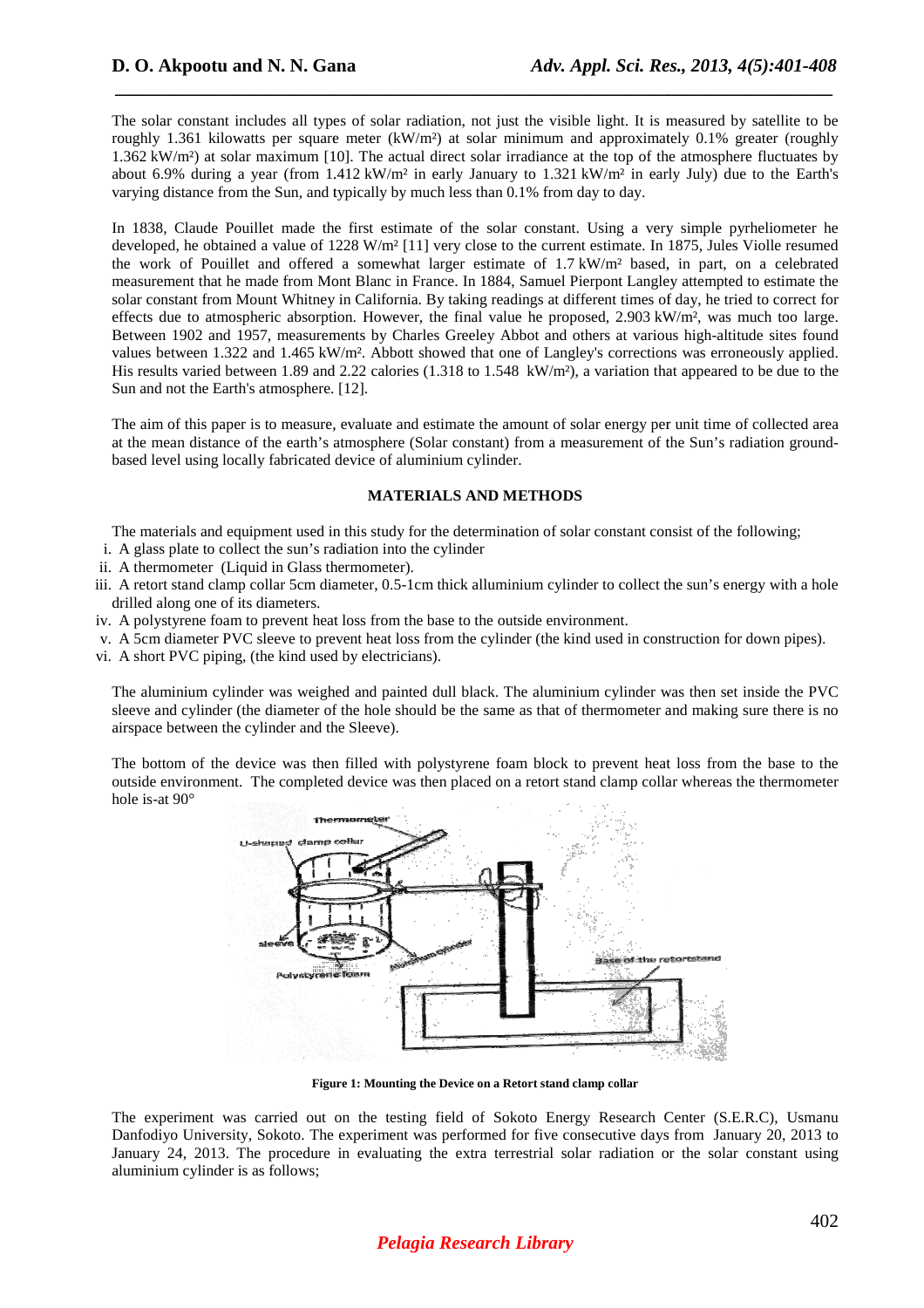The solar constant includes all types of solar radiation, not just the visible light. It is measured by satellite to be roughly 1.361 kilowatts per square meter  $(kW/m<sup>2</sup>)$  at solar minimum and approximately 0.1% greater (roughly roughly 1.361 kilowatts per square meter (kW/m<sup>2</sup>) at solar minimum and approximately 0.1% greater (roughly 1.362 kW/m<sup>2</sup>) at solar maximum [10]. The actual direct solar irradiance at the top of the atmosphere fluctuates b about 6.9% during a year (from  $1.412 \text{ kW/m}^2$  in early January to  $1.321 \text{ kW/m}^2$  in early July) due to the Earth's varying distance from the Sun, and typically by much less than 0.1% from day to day.

*\_\_\_\_\_\_\_\_\_\_\_\_\_\_\_\_\_\_\_\_\_\_\_\_\_\_\_\_\_\_\_\_\_\_\_\_\_\_\_\_\_\_\_\_\_\_\_\_\_\_\_\_\_\_\_\_\_\_\_\_\_\_\_\_\_\_\_\_\_\_\_\_\_\_\_\_\_*

In 1838, Claude Pouillet made the first estimate of the solar constant. Using a very simple pyrheliometer he developed, he obtained a value of 1228 W/m<sup>2</sup> [11] very close to the current estimate. In 1875, Jules Violle resumed the work of Pouillet and offered a somewhat larger estimate of 1.7 kW/m<sup>2</sup> based, in part, on a celebrated measurement that he made from Mont Blanc in France. In 1884, Samuel Pierpont Langley attempted to estimate the solar constant from Mount Whitney in California. By taking readings at different times of day, he tried to correct for effects due to atmospheric absorption. However, the final value he proposed, 2.903 kW/m<sup>2</sup>, was much too large. Between 1902 and 1957, measurements by Charles Greeley Abbot and others at various high-altitude sites found values between 1.322 and 1.465 kW/m<sup>2</sup>. Abbott showed that one of Langley's corrections was erroneously applied. His results varied between  $1.89$  and  $2.22$  calories ( $1.318$  to  $1.548$  kW/m<sup>2</sup>), a variation that appeared to be due to the Sun and not the Earth's atmosphere. [12]. lanc in France. In 1884, Samuel Pierpont Langley attempted to estimate the alifornia. By taking readings at different times of day, he tried to correct for However, the final value he proposed,  $2.903 \text{ kW/m}^2$ , was much t

The aim of this paper is to measure, evaluate and estimate the amount of solar energy per unit time of collected area The aim of this paper is to measure, evaluate and estimate the amount of solar energy per unit time of collected area<br>at the mean distance of the earth's atmosphere (Solar constant) from a measurement of the Sun's radiatio based level using locally fabricated device of aluminium cylinder.

### **MATERIALS AND METHODS**

The materials and equipment used in this study for the determination of solar constant consist of the following;

- i. A glass plate to collect the sun's radiation into the cylinder
- ii. A thermometer (Liquid in Glass thermometer).
- iii. A retort stand clamp collar 5cm diameter, 0.5-1cm thick alluminium cylinder to collect the sun's energy with a hole drilled along one of its diameters.
- iv. A polystyrene foam to prevent heat loss from the base to the outside environment.
- v. A 5cm diameter PVC sleeve to prevent heat loss from the cylinder (the kind used in construction for down pipes).
- vi. A short PVC piping, (the kind used by electricians).

The aluminium cylinder was weighed and painted dull black. The aluminium cylinder was then set inside the PVC sleeve and cylinder (the diameter of the hole should be the same as that of thermometer and making sure there is no airspace between the cylinder and the Sleeve). 1cm thick alluminium cylinder to collect the sun's energy with a hole<br>the base to the outside environment.<br>ss from the cylinder (the kind used in construction for down pipes).<br>ians).<br>teed dull black. The aluminium cylinder

The bottom of the device was then filled with polystyrene foam block to prevent heat loss outside environment. The completed device was then placed on a retort stand clamp collar whereas the thermometer hole is-at 90°



**Figure 1: 1: Mounting the Device on a Retort stand clamp collar**

The experiment was carried out on the testing field of Sokoto Energy Research Center (S.E.R.C), Usmanu Danfodiyo University, Sokoto. The experiment was performed for five consecutive days from January 20, 2013 to January 24, 2013. The procedure in evaluating the extra terrestrial solar radiation or the solar constant using aluminium cylinder is as follows;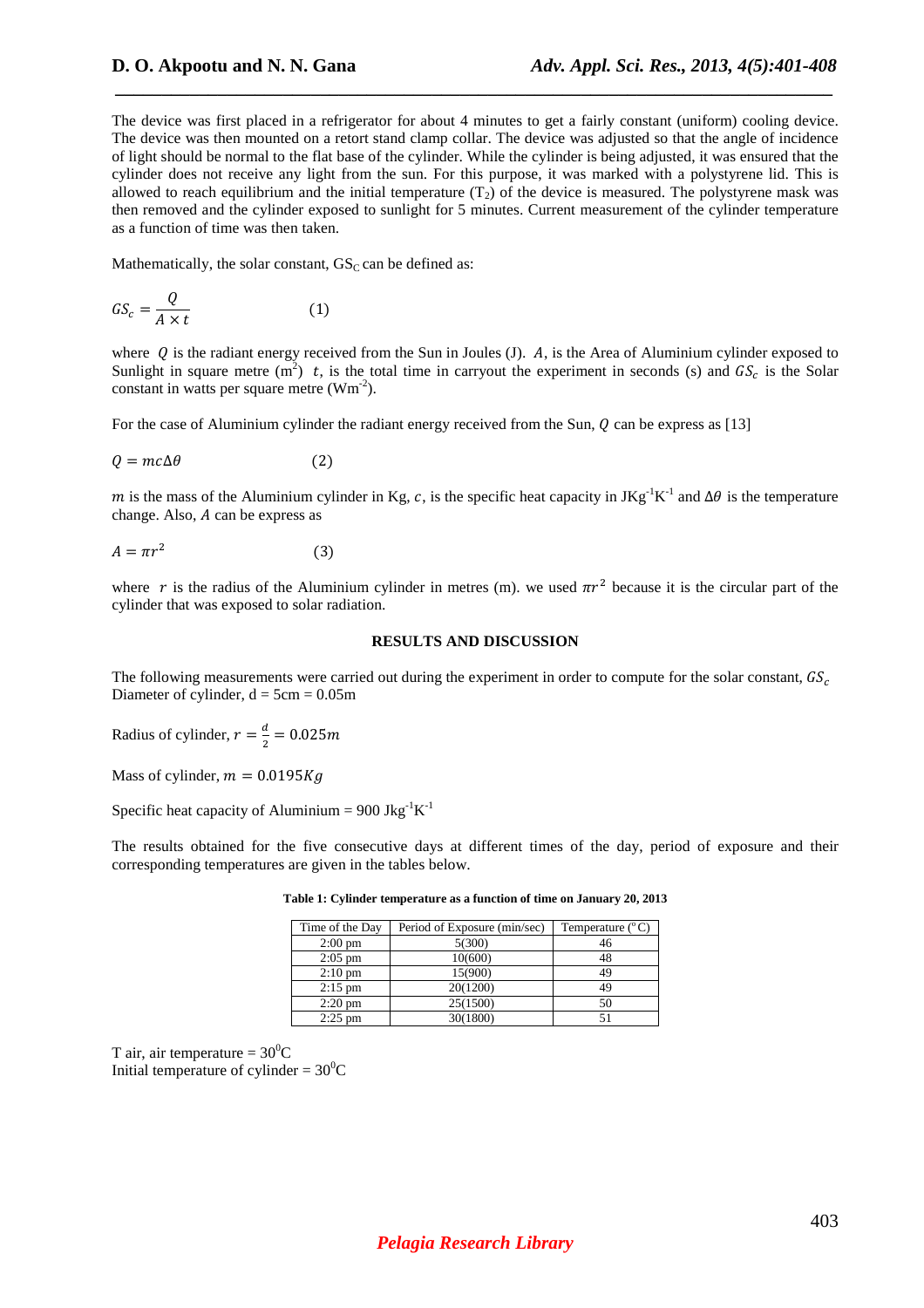The device was first placed in a refrigerator for about 4 minutes to get a fairly constant (uniform) cooling device. The device was then mounted on a retort stand clamp collar. The device was adjusted so that the angle of incidence of light should be normal to the flat base of the cylinder. While the cylinder is being adjusted, it was ensured that the cylinder does not receive any light from the sun. For this purpose, it was marked with a polystyrene lid. This is allowed to reach equilibrium and the initial temperature  $(T_2)$  of the device is measured. The polystyrene mask was then removed and the cylinder exposed to sunlight for 5 minutes. Current measurement of the cylinder temperature as a function of time was then taken.

 *\_\_\_\_\_\_\_\_\_\_\_\_\_\_\_\_\_\_\_\_\_\_\_\_\_\_\_\_\_\_\_\_\_\_\_\_\_\_\_\_\_\_\_\_\_\_\_\_\_\_\_\_\_\_\_\_\_\_\_\_\_\_\_\_\_\_\_\_\_\_\_\_\_\_\_\_\_*

Mathematically, the solar constant,  $GS<sub>C</sub>$  can be defined as:

$$
GS_c = \frac{Q}{A \times t} \tag{1}
$$

where  $\hat{O}$  is the radiant energy received from the Sun in Joules (J).  $\hat{A}$ , is the Area of Aluminium cylinder exposed to Sunlight in square metre (m<sup>2</sup>) t, is the total time in carryout the experiment in seconds (s) and  $GS_c$  is the Solar constant in watts per square metre  $(Wm^{-2})$ .

For the case of Aluminium cylinder the radiant energy received from the Sun,  $Q$  can be express as [13]

$$
Q = mc\Delta\theta \tag{2}
$$

m is the mass of the Aluminium cylinder in Kg, c, is the specific heat capacity in JKg<sup>-1</sup>K<sup>-1</sup> and  $\Delta\theta$  is the temperature change. Also,  $A$  can be express as

$$
A = \pi r^2 \tag{3}
$$

where r is the radius of the Aluminium cylinder in metres (m). we used  $\pi r^2$  because it is the circular part of the cylinder that was exposed to solar radiation.

### **RESULTS AND DISCUSSION**

The following measurements were carried out during the experiment in order to compute for the solar constant,  $GS_c$ Diameter of cylinder,  $d = 5cm = 0.05m$ 

Radius of cylinder,  $r = \frac{d}{2}$  $\frac{a}{2} = 0.025m$ 

Mass of cylinder,  $m = 0.0195Kg$ 

Specific heat capacity of Aluminium =  $900 \text{ Jkg}^{-1}\text{K}^{-1}$ 

The results obtained for the five consecutive days at different times of the day, period of exposure and their corresponding temperatures are given in the tables below.

| Time of the Day   | Period of Exposure (min/sec) | Temperature $(^{\circ}C)$ |
|-------------------|------------------------------|---------------------------|
| $2:00 \text{ pm}$ | 5(300)                       | 46                        |
| $2:05$ pm         | 10(600)                      | 48                        |
| $2:10 \text{ pm}$ | 15(900)                      | 49                        |
| $2:15$ pm         | 20(1200)                     | 49                        |
| $2:20 \text{ pm}$ | 25(1500)                     | 50                        |
| $2:25$ pm         | 30(1800)                     |                           |

**Table 1: Cylinder temperature as a function of time on January 20, 2013** 

T air, air temperature =  $30^0C$ Initial temperature of cylinder =  $30^{\circ}$ C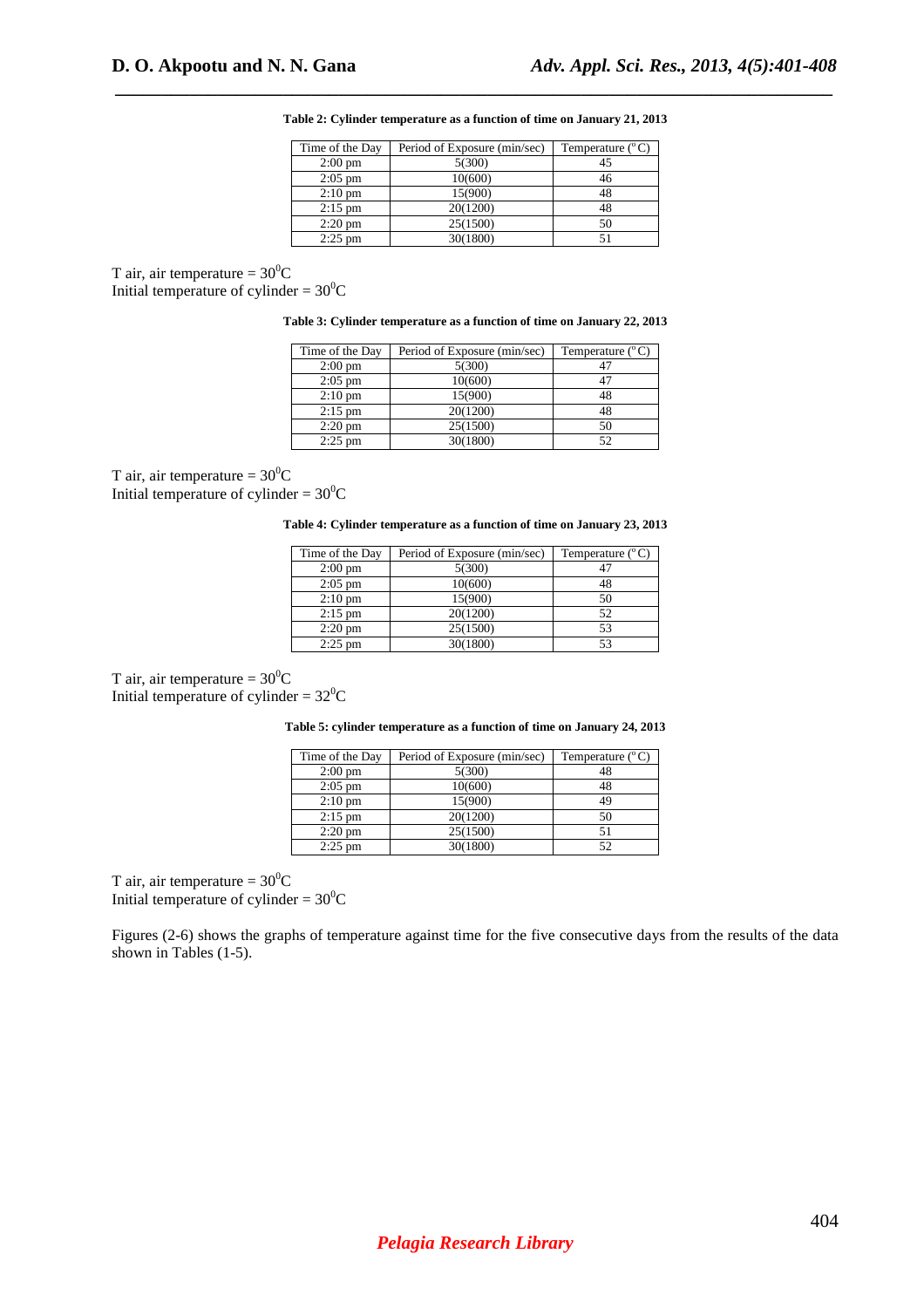**Table 2: Cylinder temperature as a function of time on January 21, 2013** 

 *\_\_\_\_\_\_\_\_\_\_\_\_\_\_\_\_\_\_\_\_\_\_\_\_\_\_\_\_\_\_\_\_\_\_\_\_\_\_\_\_\_\_\_\_\_\_\_\_\_\_\_\_\_\_\_\_\_\_\_\_\_\_\_\_\_\_\_\_\_\_\_\_\_\_\_\_\_*

| Time of the Day   | Period of Exposure (min/sec) | Temperature $(^{\circ}C)$ |
|-------------------|------------------------------|---------------------------|
| $2:00 \text{ pm}$ | 5(300)                       |                           |
| $2:05$ pm         | 10(600)                      | 46                        |
| $2:10 \text{ pm}$ | 15(900)                      | 48                        |
| $2:15$ pm         | 20(1200)                     |                           |
| $2:20 \text{ pm}$ | 25(1500)                     | 50                        |
| $2:25$ pm         | 30(1800)                     |                           |

T air, air temperature =  $30^0C$ Initial temperature of cylinder =  $30^0C$ 

| Table 3: Cylinder temperature as a function of time on January 22, 2013 |  |  |
|-------------------------------------------------------------------------|--|--|
|                                                                         |  |  |

| Time of the Day   | Period of Exposure (min/sec) | Temperature $(^{\circ}C)$ |
|-------------------|------------------------------|---------------------------|
| $2:00 \text{ pm}$ | 5(300)                       | 47                        |
| $2:05$ pm         | 10(600)                      | 47                        |
| $2:10 \text{ pm}$ | 15(900)                      | 48                        |
| $2:15$ pm         | 20(1200)                     | 48                        |
| $2:20 \text{ pm}$ | 25(1500)                     | 50                        |
| $2:25$ pm         | 30(1800)                     | 52                        |

T air, air temperature =  $30^0C$ Initial temperature of cylinder =  $30^0C$ 

**Table 4: Cylinder temperature as a function of time on January 23, 2013** 

| Time of the Day   | Period of Exposure (min/sec) | Temperature $(^{\circ}C)$ |
|-------------------|------------------------------|---------------------------|
| $2:00 \text{ pm}$ | 5(300)                       |                           |
| $2:05$ pm         | 10(600)                      |                           |
| $2:10 \text{ pm}$ | 15(900)                      | 50                        |
| $2:15$ pm         | 20(1200)                     | 52                        |
| $2:20 \text{ pm}$ | 25(1500)                     | 53                        |
| $2:25$ pm         | 30(1800)                     |                           |

T air, air temperature =  $30^0C$ Initial temperature of cylinder =  $32^0C$ 

**Table 5: cylinder temperature as a function of time on January 24, 2013** 

| Time of the Day   | Period of Exposure (min/sec) | Temperature $(^{\circ}C)$ |
|-------------------|------------------------------|---------------------------|
| $2:00 \text{ pm}$ | 5(300)                       | 48                        |
| $2:05$ pm         | 10(600)                      | 48                        |
| $2:10 \text{ pm}$ | 15(900)                      | 49                        |
| $2:15$ pm         | 20(1200)                     | 50                        |
| $2:20$ pm         | 25(1500)                     |                           |
| $2:25$ pm         | 30(1800)                     | 52                        |

T air, air temperature =  $30^{\circ}$ C Initial temperature of cylinder =  $30^0C$ 

Figures (2-6) shows the graphs of temperature against time for the five consecutive days from the results of the data shown in Tables (1-5).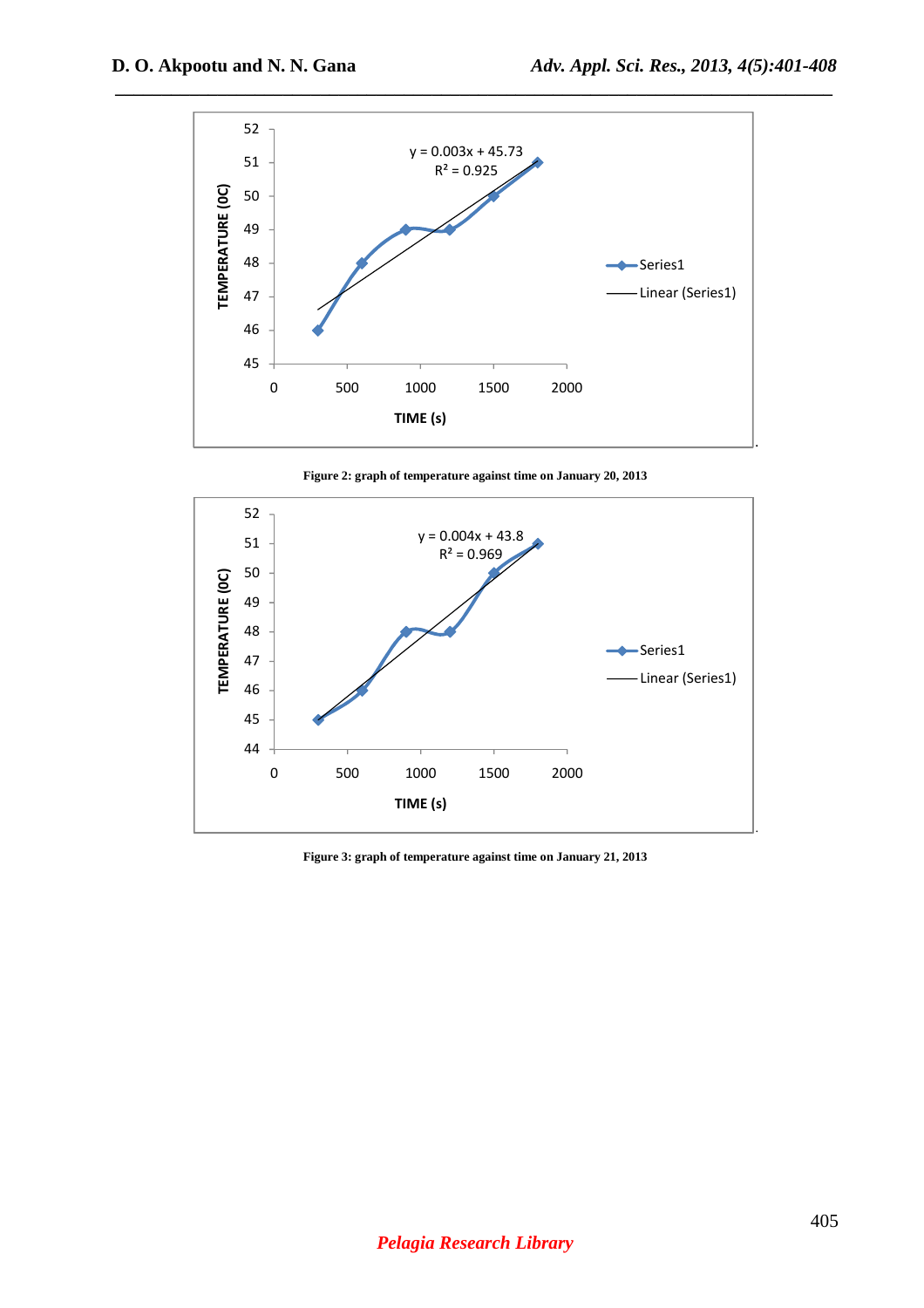

**Figure 2: graph of temperature against time on January 20, 2013** 



**Figure 3: graph of temperature against time on January 21, 2013**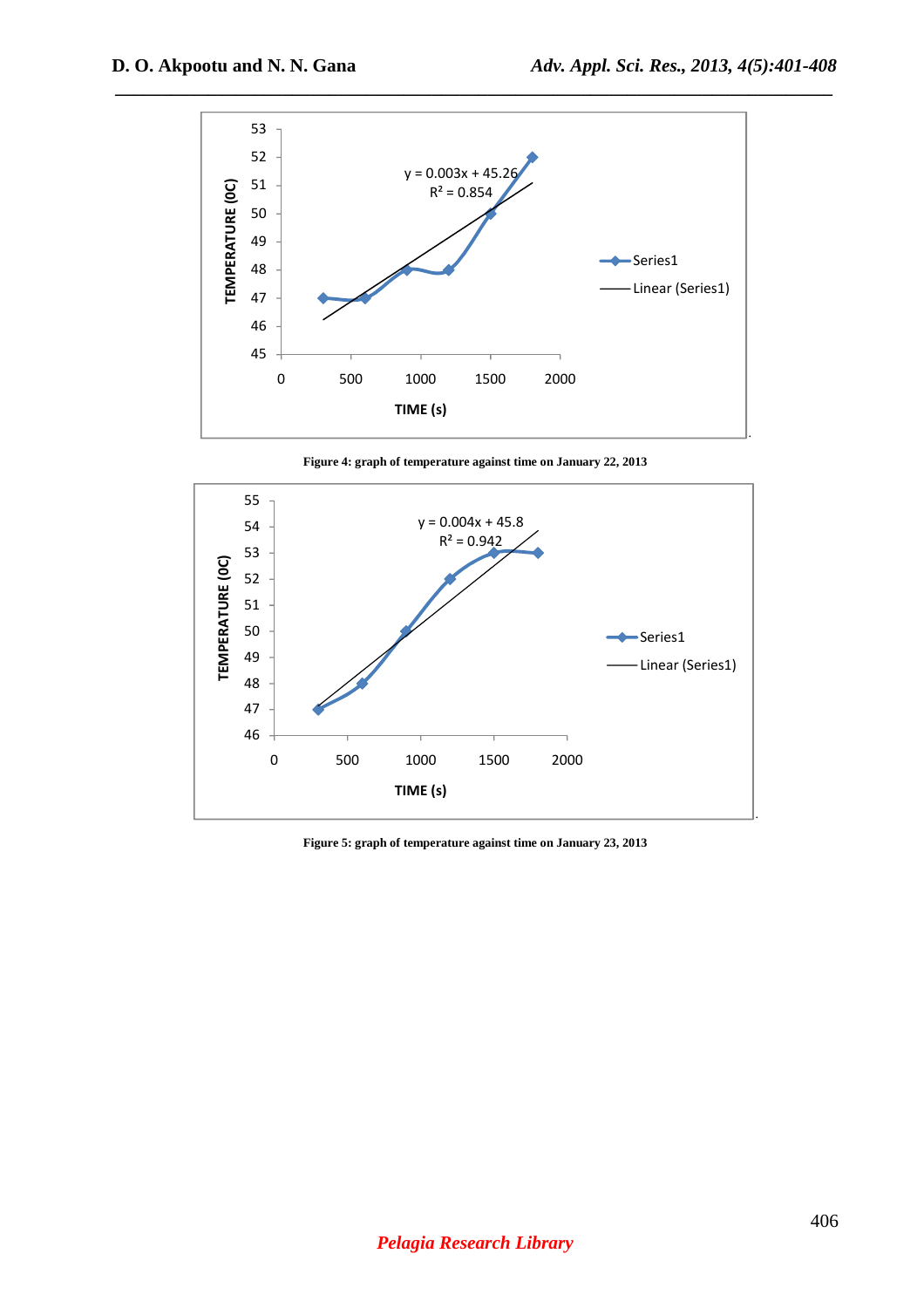

**Figure 4: graph of temperature against time on January 22, 2013** 



**Figure 5: graph of temperature against time on January 23, 2013**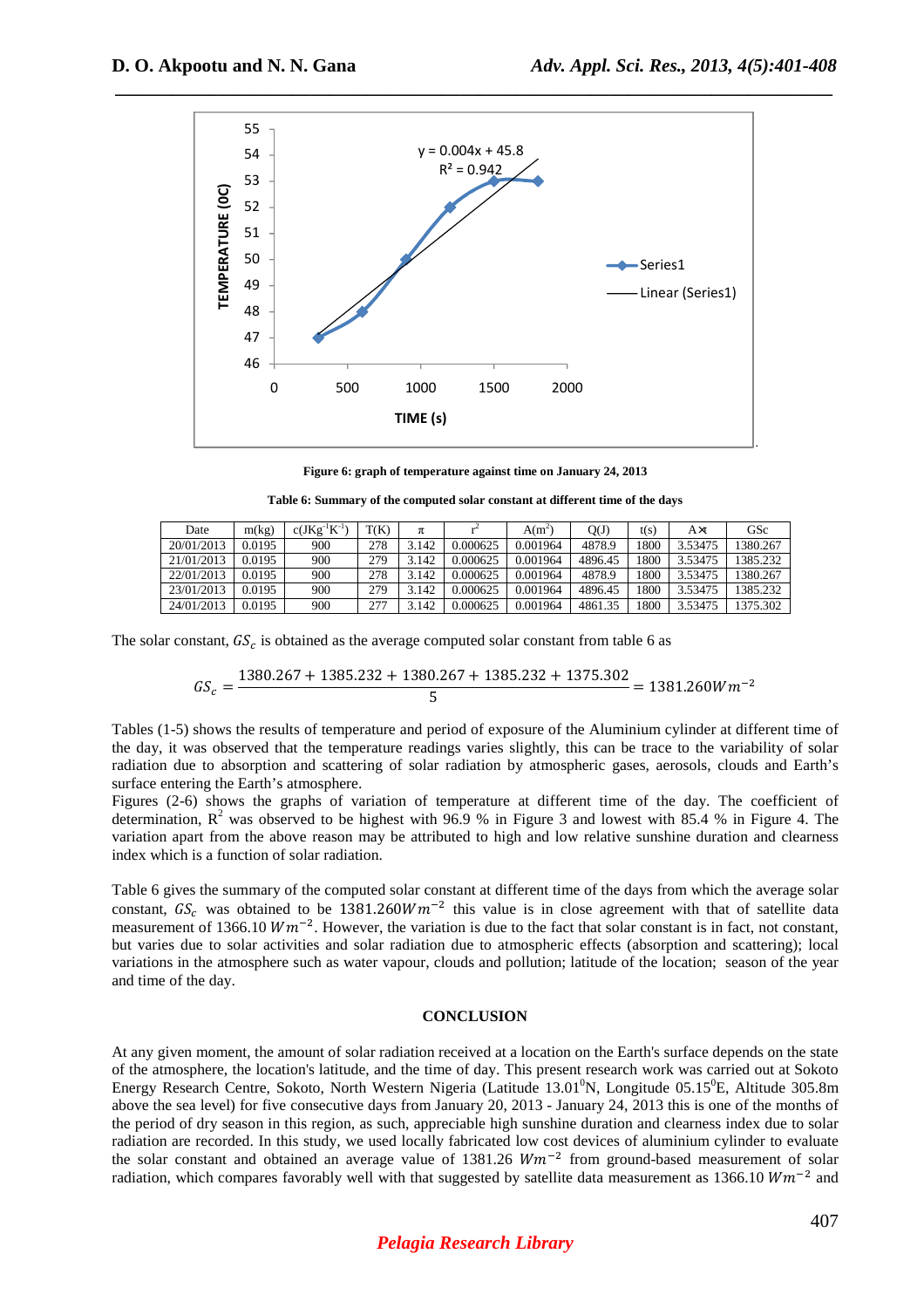

**Figure 6: graph of temperature against time on January 24, 2013** 

**Table 6: Summary of the computed solar constant at different time of the days** 

| Date       | m(kg)  | $c(JKg^{-1}K^{-1})$ | T(K) | π     |          | $A(m^2)$ | QŒ      | t(s) | A×t     | GSc      |
|------------|--------|---------------------|------|-------|----------|----------|---------|------|---------|----------|
| 20/01/2013 | 0.0195 | 900                 | 278  | 3.142 | 0.000625 | 0.001964 | 4878.9  | 1800 | 3.53475 | 380.267  |
| 21/01/2013 | 0.0195 | 900                 | 279  | 3.142 | 0.000625 | 0.001964 | 4896.45 | 1800 | 3.53475 | 1385.232 |
| 22/01/2013 | 0.0195 | 900                 | 278  | 3.142 | 0.000625 | 0.001964 | 4878.9  | 1800 | 3.53475 | 380.267  |
| 23/01/2013 | 0.0195 | 900                 | 279  | 3.142 | 0.000625 | 0.001964 | 4896.45 | 1800 | 3.53475 | 1385.232 |
| 24/01/2013 | 0.0195 | 900                 | 277  | 3.142 | 0.000625 | 001964.  | 4861.35 | 1800 | 3.53475 | 375.302  |

The solar constant,  $GS_c$  is obtained as the average computed solar constant from table 6 as

$$
GS_c = \frac{1380.267 + 1385.232 + 1380.267 + 1385.232 + 1375.302}{5} = 1381.260 W m^{-2}
$$

Tables (1-5) shows the results of temperature and period of exposure of the Aluminium cylinder at different time of the day, it was observed that the temperature readings varies slightly, this can be trace to the variability of solar radiation due to absorption and scattering of solar radiation by atmospheric gases, aerosols, clouds and Earth's surface entering the Earth's atmosphere.

Figures (2-6) shows the graphs of variation of temperature at different time of the day. The coefficient of determination,  $R^2$  was observed to be highest with 96.9 % in Figure 3 and lowest with 85.4 % in Figure 4. The variation apart from the above reason may be attributed to high and low relative sunshine duration and clearness index which is a function of solar radiation.

Table 6 gives the summary of the computed solar constant at different time of the days from which the average solar constant,  $GS_c$  was obtained to be 1381.260 $Wm^{-2}$  this value is in close agreement with that of satellite data measurement of 1366.10  $Wm^{-2}$ . However, the variation is due to the fact that solar constant is in fact, not constant, but varies due to solar activities and solar radiation due to atmospheric effects (absorption and scattering); local variations in the atmosphere such as water vapour, clouds and pollution; latitude of the location; season of the year and time of the day.

## **CONCLUSION**

At any given moment, the amount of solar radiation received at a location on the Earth's surface depends on the state of the atmosphere, the location's latitude, and the time of day. This present research work was carried out at Sokoto Energy Research Centre, Sokoto, North Western Nigeria (Latitude 13.01 $\rm{^{0}N}$ , Longitude 05.15 $\rm{^{0}E}$ , Altitude 305.8m above the sea level) for five consecutive days from January 20, 2013 - January 24, 2013 this is one of the months of the period of dry season in this region, as such, appreciable high sunshine duration and clearness index due to solar radiation are recorded. In this study, we used locally fabricated low cost devices of aluminium cylinder to evaluate the solar constant and obtained an average value of 1381.26  $Wm^{-2}$  from ground-based measurement of solar radiation, which compares favorably well with that suggested by satellite data measurement as 1366.10  $Wm^{-2}$  and